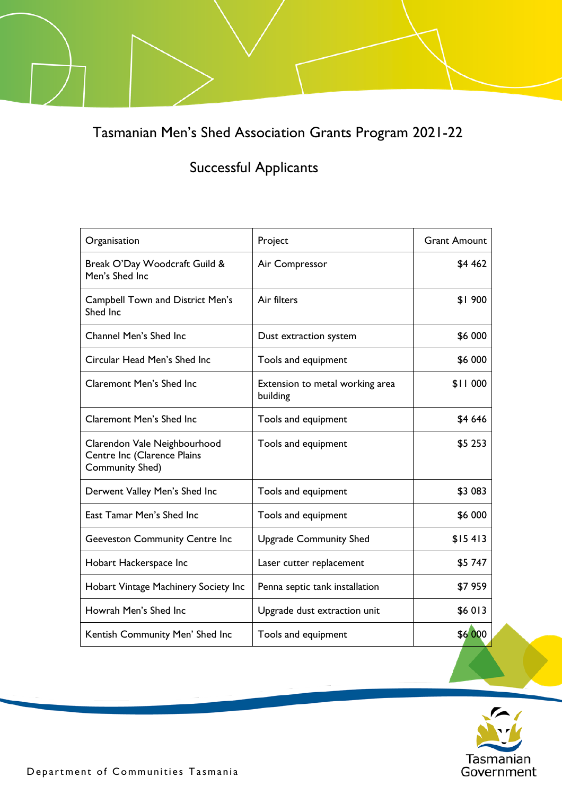Tasmanian Men's Shed Association Grants Program 2021-22

## Successful Applicants

| Organisation                                                                   | Project                                     | <b>Grant Amount</b> |
|--------------------------------------------------------------------------------|---------------------------------------------|---------------------|
| Break O'Day Woodcraft Guild &<br>Men's Shed Inc                                | Air Compressor                              | \$4 462             |
| <b>Campbell Town and District Men's</b><br>Shed Inc                            | Air filters                                 | \$1900              |
| Channel Men's Shed Inc                                                         | Dust extraction system                      | \$6 000             |
| Circular Head Men's Shed Inc                                                   | Tools and equipment                         | \$6 000             |
| <b>Claremont Men's Shed Inc</b>                                                | Extension to metal working area<br>building | \$11 000            |
| <b>Claremont Men's Shed Inc</b>                                                | Tools and equipment                         | \$4 646             |
| Clarendon Vale Neighbourhood<br>Centre Inc (Clarence Plains<br>Community Shed) | Tools and equipment                         | \$5 253             |
| Derwent Valley Men's Shed Inc                                                  | Tools and equipment                         | \$3 083             |
| East Tamar Men's Shed Inc                                                      | Tools and equipment                         | \$6 000             |
| <b>Geeveston Community Centre Inc</b>                                          | <b>Upgrade Community Shed</b>               | \$15413             |
| Hobart Hackerspace Inc                                                         | Laser cutter replacement                    | \$5747              |
| Hobart Vintage Machinery Society Inc                                           | Penna septic tank installation              | \$7959              |
| Howrah Men's Shed Inc                                                          | Upgrade dust extraction unit                | \$6013              |
| Kentish Community Men' Shed Inc                                                | Tools and equipment                         | \$6 000             |